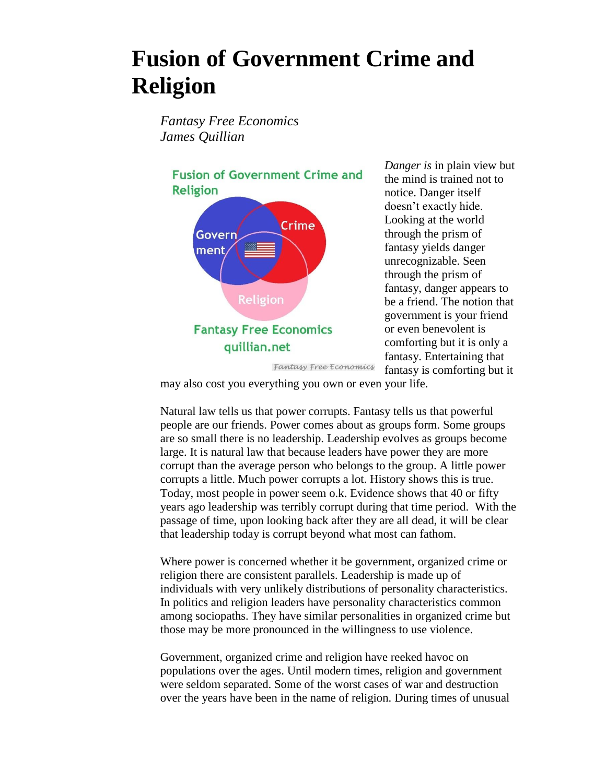## **Fusion of Government Crime and Religion**

*Fantasy Free Economics James Quillian*

**Fusion of Government Crime and Religion** Crime Govern ment Religion **Fantasy Free Economics** quillian.net

*Danger is* in plain view but the mind is trained not to notice. Danger itself doesn't exactly hide. Looking at the world through the prism of fantasy yields danger unrecognizable. Seen through the prism of fantasy, danger appears to be a friend. The notion that government is your friend or even benevolent is comforting but it is only a fantasy. Entertaining that fantasy is comforting but it

may also cost you everything you own or even your life.

Fantasy Free Economics

Natural law tells us that power corrupts. Fantasy tells us that powerful people are our friends. Power comes about as groups form. Some groups are so small there is no leadership. Leadership evolves as groups become large. It is natural law that because leaders have power they are more corrupt than the average person who belongs to the group. A little power corrupts a little. Much power corrupts a lot. History shows this is true. Today, most people in power seem o.k. Evidence shows that 40 or fifty years ago leadership was terribly corrupt during that time period. With the passage of time, upon looking back after they are all dead, it will be clear that leadership today is corrupt beyond what most can fathom.

Where power is concerned whether it be government, organized crime or religion there are consistent parallels. Leadership is made up of individuals with very unlikely distributions of personality characteristics. In politics and religion leaders have personality characteristics common among sociopaths. They have similar personalities in organized crime but those may be more pronounced in the willingness to use violence.

Government, organized crime and religion have reeked havoc on populations over the ages. Until modern times, religion and government were seldom separated. Some of the worst cases of war and destruction over the years have been in the name of religion. During times of unusual